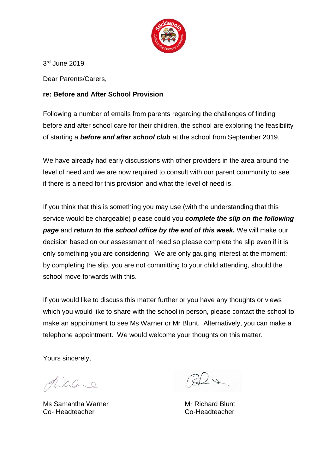

3 rd June 2019

Dear Parents/Carers,

## **re: Before and After School Provision**

Following a number of emails from parents regarding the challenges of finding before and after school care for their children, the school are exploring the feasibility of starting a *before and after school club* at the school from September 2019.

We have already had early discussions with other providers in the area around the level of need and we are now required to consult with our parent community to see if there is a need for this provision and what the level of need is.

If you think that this is something you may use (with the understanding that this service would be chargeable) please could you *complete the slip on the following page* and *return to the school office by the end of this week.* We will make our decision based on our assessment of need so please complete the slip even if it is only something you are considering. We are only gauging interest at the moment; by completing the slip, you are not committing to your child attending, should the school move forwards with this.

If you would like to discuss this matter further or you have any thoughts or views which you would like to share with the school in person, please contact the school to make an appointment to see Ms Warner or Mr Blunt. Alternatively, you can make a telephone appointment. We would welcome your thoughts on this matter.

Yours sincerely,

 $GQ_{\sim}0$ 

Ms Samantha Warner **Mr Richard Blunt** Co- Headteacher Co-Headteacher